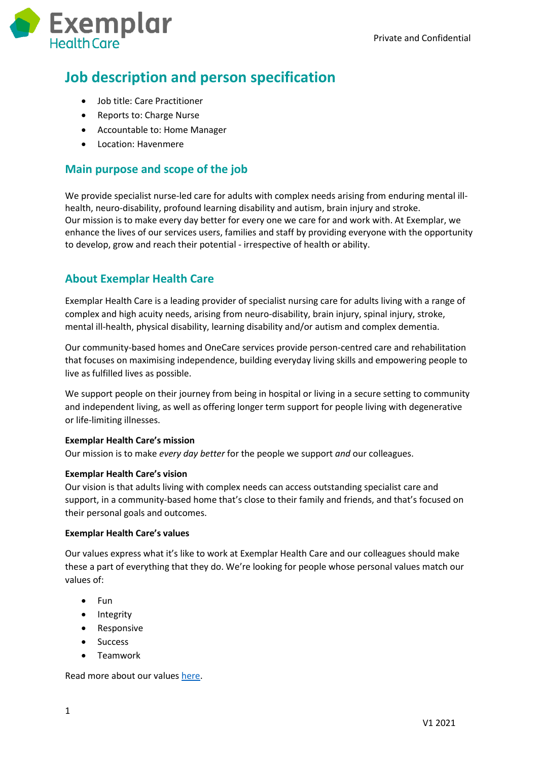

# **Job description and person specification**

- Job title: Care Practitioner
- Reports to: Charge Nurse
- Accountable to: Home Manager
- Location: Havenmere

### **Main purpose and scope of the job**

We provide specialist nurse-led care for adults with complex needs arising from enduring mental illhealth, neuro-disability, profound learning disability and autism, brain injury and stroke. Our mission is to make every day better for every one we care for and work with. At Exemplar, we enhance the lives of our services users, families and staff by providing everyone with the opportunity to develop, grow and reach their potential - irrespective of health or ability.

## **About Exemplar Health Care**

Exemplar Health Care is a leading provider of specialist nursing care for adults living with a range of complex and high acuity needs, arising from neuro-disability, brain injury, spinal injury, stroke, mental ill-health, physical disability, learning disability and/or autism and complex dementia.

Our community-based homes and OneCare services provide person-centred care and rehabilitation that focuses on maximising independence, building everyday living skills and empowering people to live as fulfilled lives as possible.

We support people on their journey from being in hospital or living in a secure setting to community and independent living, as well as offering longer term support for people living with degenerative or life-limiting illnesses.

#### **Exemplar Health Care's mission**

Our mission is to make *every day better* for the people we support *and* our colleagues.

#### **Exemplar Health Care's vision**

Our vision is that adults living with complex needs can access outstanding specialist care and support, in a community-based home that's close to their family and friends, and that's focused on their personal goals and outcomes.

#### **Exemplar Health Care's values**

Our values express what it's like to work at Exemplar Health Care and our colleagues should make these a part of everything that they do. We're looking for people whose personal values match our values of:

- Fun
- Integrity
- Responsive
- Success
- Teamwork

Read more about our values [here.](https://www.exemplarhc.com/about-us/our-values)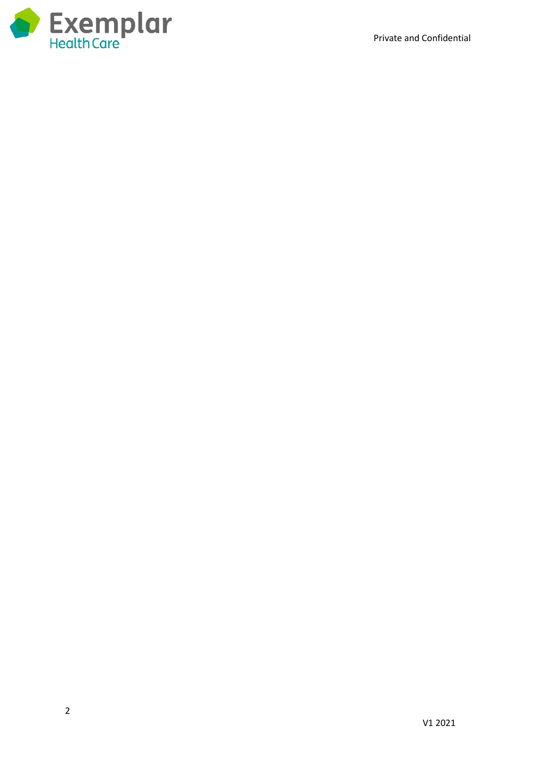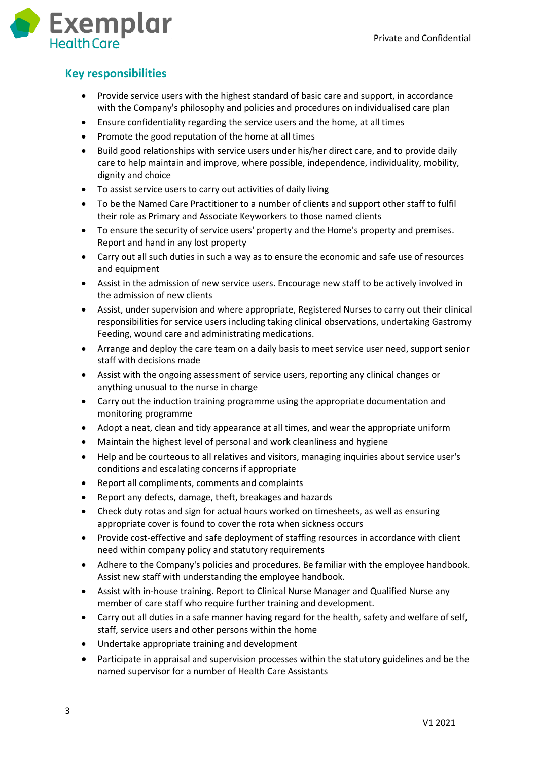

# **Key responsibilities**

- Provide service users with the highest standard of basic care and support, in accordance with the Company's philosophy and policies and procedures on individualised care plan
- Ensure confidentiality regarding the service users and the home, at all times
- Promote the good reputation of the home at all times
- Build good relationships with service users under his/her direct care, and to provide daily care to help maintain and improve, where possible, independence, individuality, mobility, dignity and choice
- To assist service users to carry out activities of daily living
- To be the Named Care Practitioner to a number of clients and support other staff to fulfil their role as Primary and Associate Keyworkers to those named clients
- To ensure the security of service users' property and the Home's property and premises. Report and hand in any lost property
- Carry out all such duties in such a way as to ensure the economic and safe use of resources and equipment
- Assist in the admission of new service users. Encourage new staff to be actively involved in the admission of new clients
- Assist, under supervision and where appropriate, Registered Nurses to carry out their clinical responsibilities for service users including taking clinical observations, undertaking Gastromy Feeding, wound care and administrating medications.
- Arrange and deploy the care team on a daily basis to meet service user need, support senior staff with decisions made
- Assist with the ongoing assessment of service users, reporting any clinical changes or anything unusual to the nurse in charge
- Carry out the induction training programme using the appropriate documentation and monitoring programme
- Adopt a neat, clean and tidy appearance at all times, and wear the appropriate uniform
- Maintain the highest level of personal and work cleanliness and hygiene
- Help and be courteous to all relatives and visitors, managing inquiries about service user's conditions and escalating concerns if appropriate
- Report all compliments, comments and complaints
- Report any defects, damage, theft, breakages and hazards
- Check duty rotas and sign for actual hours worked on timesheets, as well as ensuring appropriate cover is found to cover the rota when sickness occurs
- Provide cost-effective and safe deployment of staffing resources in accordance with client need within company policy and statutory requirements
- Adhere to the Company's policies and procedures. Be familiar with the employee handbook. Assist new staff with understanding the employee handbook.
- Assist with in-house training. Report to Clinical Nurse Manager and Qualified Nurse any member of care staff who require further training and development.
- Carry out all duties in a safe manner having regard for the health, safety and welfare of self, staff, service users and other persons within the home
- Undertake appropriate training and development
- Participate in appraisal and supervision processes within the statutory guidelines and be the named supervisor for a number of Health Care Assistants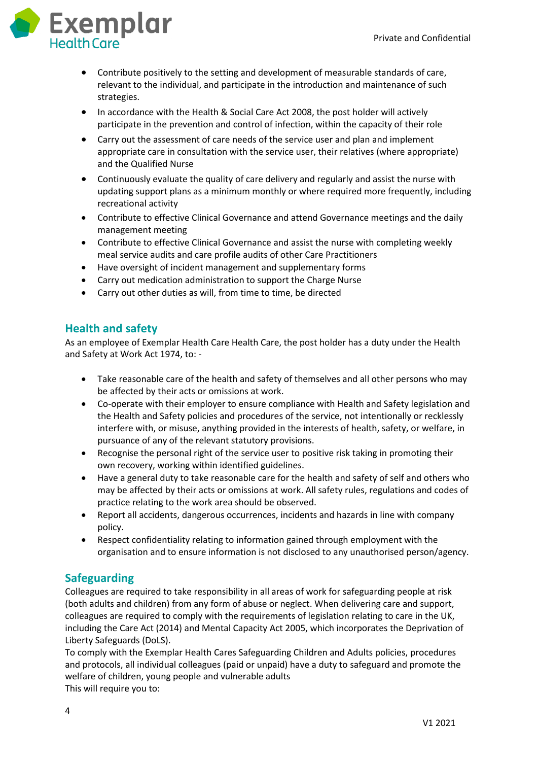

- Contribute positively to the setting and development of measurable standards of care, relevant to the individual, and participate in the introduction and maintenance of such strategies.
- In accordance with the Health & Social Care Act 2008, the post holder will actively participate in the prevention and control of infection, within the capacity of their role
- Carry out the assessment of care needs of the service user and plan and implement appropriate care in consultation with the service user, their relatives (where appropriate) and the Qualified Nurse
- Continuously evaluate the quality of care delivery and regularly and assist the nurse with updating support plans as a minimum monthly or where required more frequently, including recreational activity
- Contribute to effective Clinical Governance and attend Governance meetings and the daily management meeting
- Contribute to effective Clinical Governance and assist the nurse with completing weekly meal service audits and care profile audits of other Care Practitioners
- Have oversight of incident management and supplementary forms
- Carry out medication administration to support the Charge Nurse
- Carry out other duties as will, from time to time, be directed

## **Health and safety**

As an employee of Exemplar Health Care Health Care, the post holder has a duty under the Health and Safety at Work Act 1974, to: -

- Take reasonable care of the health and safety of themselves and all other persons who may be affected by their acts or omissions at work.
- Co-operate with their employer to ensure compliance with Health and Safety legislation and the Health and Safety policies and procedures of the service, not intentionally or recklessly interfere with, or misuse, anything provided in the interests of health, safety, or welfare, in pursuance of any of the relevant statutory provisions.
- Recognise the personal right of the service user to positive risk taking in promoting their own recovery, working within identified guidelines.
- Have a general duty to take reasonable care for the health and safety of self and others who may be affected by their acts or omissions at work. All safety rules, regulations and codes of practice relating to the work area should be observed.
- Report all accidents, dangerous occurrences, incidents and hazards in line with company policy.
- Respect confidentiality relating to information gained through employment with the organisation and to ensure information is not disclosed to any unauthorised person/agency.

# **Safeguarding**

Colleagues are required to take responsibility in all areas of work for safeguarding people at risk (both adults and children) from any form of abuse or neglect. When delivering care and support, colleagues are required to comply with the requirements of legislation relating to care in the UK, including the Care Act (2014) and Mental Capacity Act 2005, which incorporates the Deprivation of Liberty Safeguards (DoLS).

To comply with the Exemplar Health Cares Safeguarding Children and Adults policies, procedures and protocols, all individual colleagues (paid or unpaid) have a duty to safeguard and promote the welfare of children, young people and vulnerable adults This will require you to: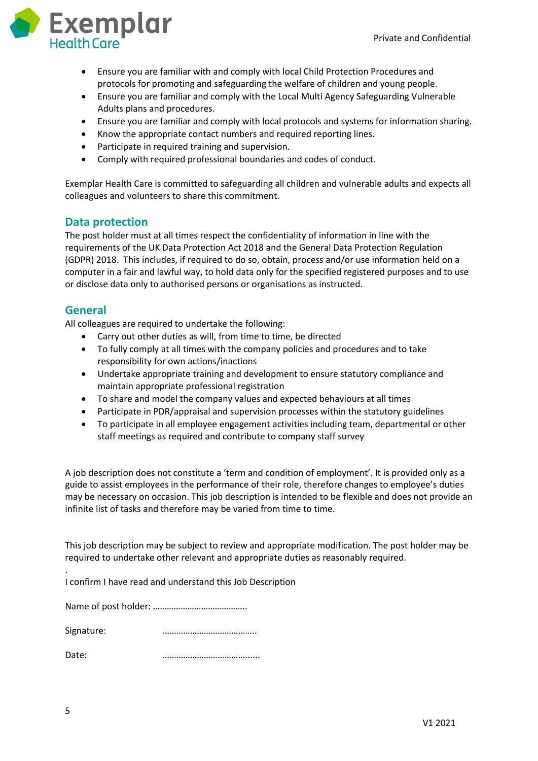

- Ensure you are familiar with and comply with local Child Protection Procedures and protocols for promoting and safeguarding the welfare of children and young people.
- Ensure you are familiar and comply with the Local Multi Agency Safeguarding Vulnerable Adults plans and procedures.
- Ensure you are familiar and comply with local protocols and systems for information sharing.
- Know the appropriate contact numbers and required reporting lines.
- Participate in required training and supervision.
- Comply with required professional boundaries and codes of conduct.

Exemplar Health Care is committed to safeguarding all children and vulnerable adults and expects all colleagues and volunteers to share this commitment.

### **Data protection**

The post holder must at all times respect the confidentiality of information in line with the requirements of the UK Data Protection Act 2018 and the General Data Protection Regulation (GDPR) 2018. This includes, if required to do so, obtain, process and/or use information held on a computer in a fair and lawful way, to hold data only for the specified registered purposes and to use or disclose data only to authorised persons or organisations as instructed.

### **General**

All colleagues are required to undertake the following:

- Carry out other duties as will, from time to time, be directed
- To fully comply at all times with the company policies and procedures and to take responsibility for own actions/inactions
- Undertake appropriate training and development to ensure statutory compliance and maintain appropriate professional registration
- To share and model the company values and expected behaviours at all times
- Participate in PDR/appraisal and supervision processes within the statutory guidelines
- To participate in all employee engagement activities including team, departmental or other staff meetings as required and contribute to company staff survey

A job description does not constitute a 'term and condition of employment'. It is provided only as a guide to assist employees in the performance of their role, therefore changes to employee's duties may be necessary on occasion. This job description is intended to be flexible and does not provide an infinite list of tasks and therefore may be varied from time to time.

This job description may be subject to review and appropriate modification. The post holder may be required to undertake other relevant and appropriate duties as reasonably required.

I confirm I have read and understand this Job Description

| Signature: |  |  |  |
|------------|--|--|--|

Date: **manufacturer with the manufacturer in the manufacturer of the state of the manufacturer in the state of the state of the state of the state of the state of the state of the state of the state of the state of the s** 

.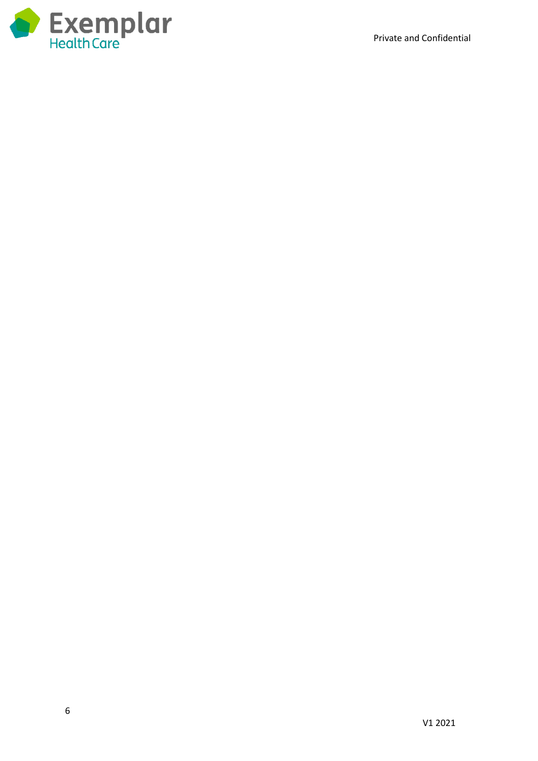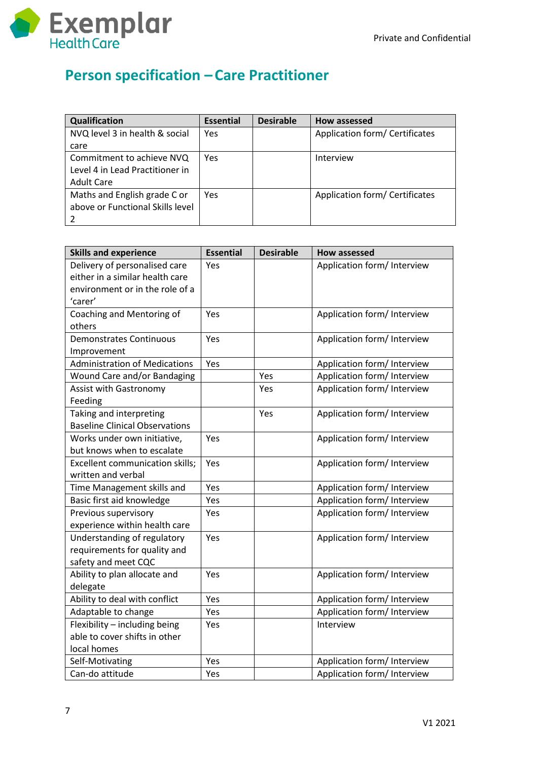

# **Person specification – Care Practitioner**

| Qualification                    | <b>Essential</b> | <b>Desirable</b> | How assessed                   |
|----------------------------------|------------------|------------------|--------------------------------|
| NVQ level 3 in health & social   | Yes              |                  | Application form/ Certificates |
| care                             |                  |                  |                                |
| Commitment to achieve NVQ        | Yes              |                  | Interview                      |
| Level 4 in Lead Practitioner in  |                  |                  |                                |
| <b>Adult Care</b>                |                  |                  |                                |
| Maths and English grade C or     | Yes              |                  | Application form/ Certificates |
| above or Functional Skills level |                  |                  |                                |
|                                  |                  |                  |                                |

| <b>Skills and experience</b>           | <b>Essential</b> | <b>Desirable</b> | <b>How assessed</b>         |
|----------------------------------------|------------------|------------------|-----------------------------|
| Delivery of personalised care          | Yes              |                  | Application form/ Interview |
| either in a similar health care        |                  |                  |                             |
| environment or in the role of a        |                  |                  |                             |
| 'carer'                                |                  |                  |                             |
| Coaching and Mentoring of              | Yes              |                  | Application form/ Interview |
| others                                 |                  |                  |                             |
| <b>Demonstrates Continuous</b>         | Yes              |                  | Application form/ Interview |
| Improvement                            |                  |                  |                             |
| <b>Administration of Medications</b>   | Yes              |                  | Application form/ Interview |
| Wound Care and/or Bandaging            |                  | Yes              | Application form/ Interview |
| <b>Assist with Gastronomy</b>          |                  | Yes              | Application form/ Interview |
| Feeding                                |                  |                  |                             |
| Taking and interpreting                |                  | Yes              | Application form/ Interview |
| <b>Baseline Clinical Observations</b>  |                  |                  |                             |
| Works under own initiative,            | Yes              |                  | Application form/ Interview |
| but knows when to escalate             |                  |                  |                             |
| <b>Excellent communication skills;</b> | Yes              |                  | Application form/ Interview |
| written and verbal                     |                  |                  |                             |
| Time Management skills and             | Yes              |                  | Application form/ Interview |
| Basic first aid knowledge              | Yes              |                  | Application form/ Interview |
| Previous supervisory                   | Yes              |                  | Application form/ Interview |
| experience within health care          |                  |                  |                             |
| Understanding of regulatory            | Yes              |                  | Application form/ Interview |
| requirements for quality and           |                  |                  |                             |
| safety and meet CQC                    |                  |                  |                             |
| Ability to plan allocate and           | Yes              |                  | Application form/ Interview |
| delegate                               |                  |                  |                             |
| Ability to deal with conflict          | Yes              |                  | Application form/ Interview |
| Adaptable to change                    | Yes              |                  | Application form/ Interview |
| Flexibility - including being          | Yes              |                  | Interview                   |
| able to cover shifts in other          |                  |                  |                             |
| local homes                            |                  |                  |                             |
| Self-Motivating                        | Yes              |                  | Application form/ Interview |
| Can-do attitude                        | Yes              |                  | Application form/ Interview |